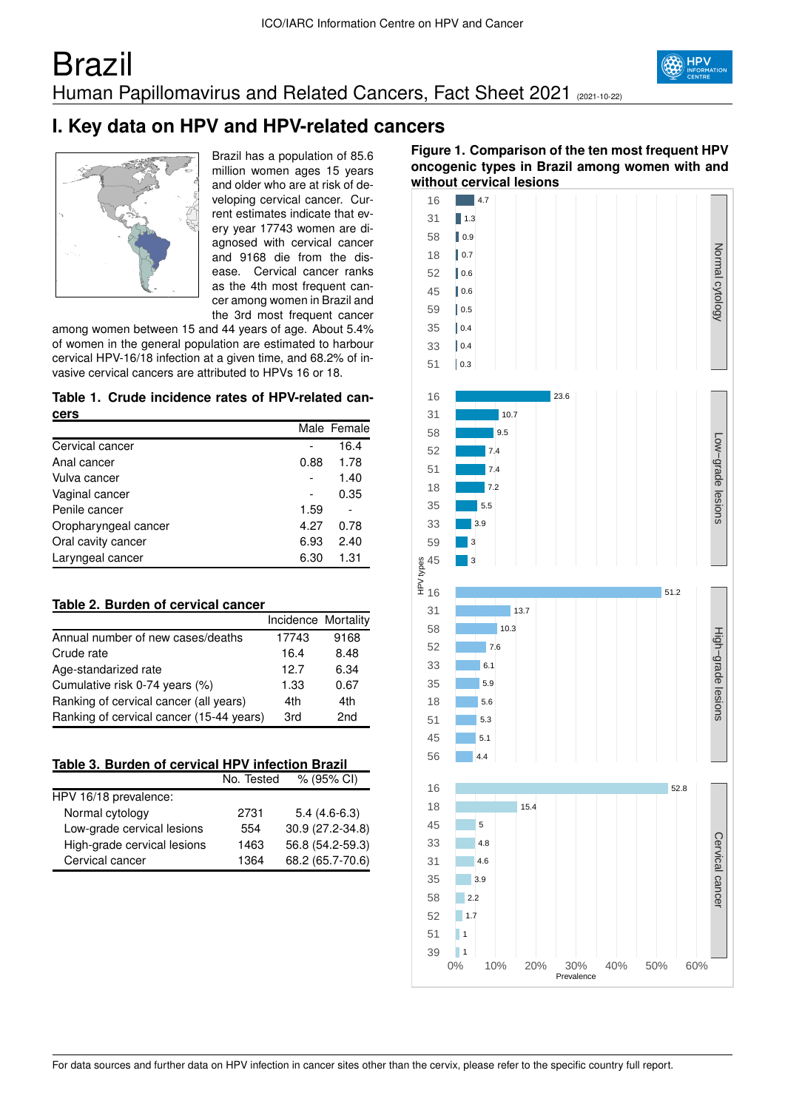# Brazil Human Papillomavirus and Related Cancers, Fact Sheet 2021 (2021-10-22)



# **I. Key data on HPV and HPV-related cancers**



Brazil has a population of 85.6 million women ages 15 years and older who are at risk of developing cervical cancer. Current estimates indicate that every year 17743 women are diagnosed with cervical cancer and 9168 die from the disease. Cervical cancer ranks as the 4th most frequent cancer among women in Brazil and the 3rd most frequent cancer

among women between 15 and 44 years of age. About 5.4% of women in the general population are estimated to harbour cervical HPV-16/18 infection at a given time, and 68.2% of invasive cervical cancers are attributed to HPVs 16 or 18.

#### **Table 1. Crude incidence rates of HPV-related cancers**

|                      |      | Male Female |
|----------------------|------|-------------|
| Cervical cancer      |      | 16.4        |
| Anal cancer          | 0.88 | 1.78        |
| Vulva cancer         |      | 1.40        |
| Vaginal cancer       |      | 0.35        |
| Penile cancer        | 1.59 |             |
| Oropharyngeal cancer | 4.27 | 0.78        |
| Oral cavity cancer   | 6.93 | 2.40        |
| Laryngeal cancer     | 6.30 | 1.31        |

## **Table 2. Burden of cervical cancer**

|                                          | Incidence Mortality |      |
|------------------------------------------|---------------------|------|
| Annual number of new cases/deaths        | 17743               | 9168 |
| Crude rate                               | 16.4                | 8.48 |
| Age-standarized rate                     | 12.7                | 6.34 |
| Cumulative risk 0-74 years (%)           | 1.33                | 0.67 |
| Ranking of cervical cancer (all years)   | 4th                 | 4th  |
| Ranking of cervical cancer (15-44 years) | 3rd                 | 2nd  |

|  | Table 3. Burden of cervical HPV infection Brazil |  |  |
|--|--------------------------------------------------|--|--|
|  |                                                  |  |  |

|                             | No. Tested | $% (95\% \text{ Cl})$ |
|-----------------------------|------------|-----------------------|
| HPV 16/18 prevalence:       |            |                       |
| Normal cytology             | 2731       | $5.4(4.6-6.3)$        |
| Low-grade cervical lesions  | 554        | 30.9 (27.2-34.8)      |
| High-grade cervical lesions | 1463       | 56.8 (54.2-59.3)      |
| Cervical cancer             | 1364       | 68.2 (65.7-70.6)      |